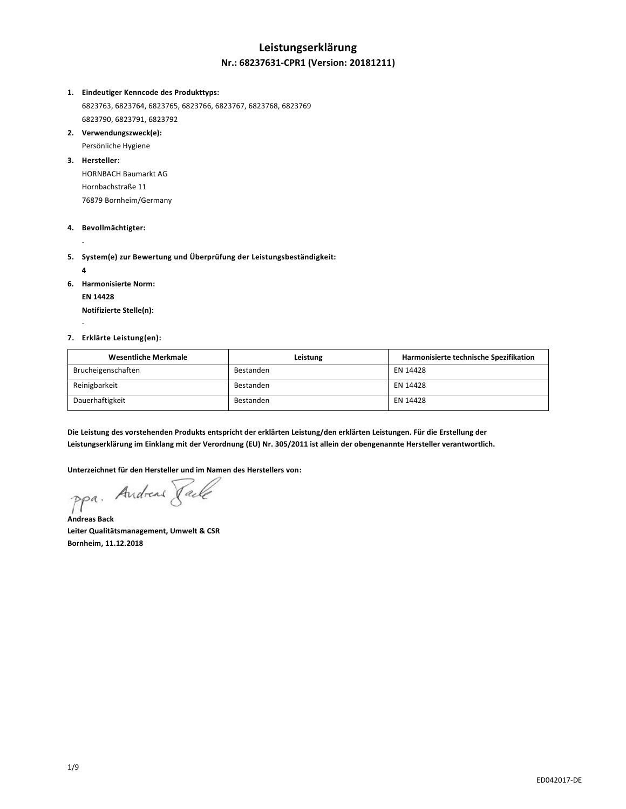# **Leistungserklärung**

#### **Nr.: 68237631-CPR1 (Version: 20181211)**

#### **1. Eindeutiger Kenncode des Produkttyps:**

6823763, 6823764, 6823765, 6823766, 6823767, 6823768, 6823769 6823790, 6823791, 6823792

- **2. Verwendungszweck(e):** Persönliche Hygiene
- **3. Hersteller:**

HORNBACH Baumarkt AG Hornbachstraße 11 76879 Bornheim/Germany

#### **4. Bevollmächtigter:**

**-**

- **5. System(e) zur Bewertung und Überprüfung der Leistungsbeständigkeit:**
	- **4**

-

- **6. Harmonisierte Norm:**
	- **EN 14428**

**Notifizierte Stelle(n):**

#### **7. Erklärte Leistung(en):**

| Wesentliche Merkmale | Leistung  | Harmonisierte technische Spezifikation |
|----------------------|-----------|----------------------------------------|
| Brucheigenschaften   | Bestanden | EN 14428                               |
| Reinigbarkeit        | Bestanden | EN 14428                               |
| Dauerhaftigkeit      | Bestanden | EN 14428                               |

**Die Leistung des vorstehenden Produkts entspricht der erklärten Leistung/den erklärten Leistungen. Für die Erstellung der Leistungserklärung im Einklang mit der Verordnung (EU) Nr. 305/2011 ist allein der obengenannte Hersteller verantwortlich.**

**Unterzeichnet für den Hersteller und im Namen des Herstellers von:**

Andreas Rail  $PP<sup>a</sup>$ 

**Andreas Back Leiter Qualitätsmanagement, Umwelt & CSR Bornheim, 11.12.2018**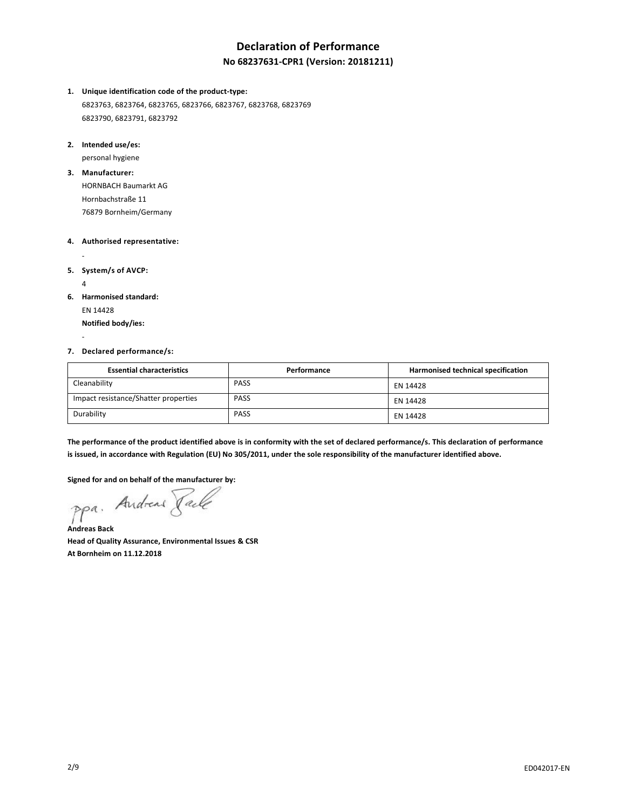# **Declaration of Performance**

### **No 68237631-CPR1 (Version: 20181211)**

#### **1. Unique identification code of the product-type:**

6823763, 6823764, 6823765, 6823766, 6823767, 6823768, 6823769 6823790, 6823791, 6823792

#### **2. Intended use/es:**

personal hygiene

#### **3. Manufacturer:**

HORNBACH Baumarkt AG Hornbachstraße 11 76879 Bornheim/Germany

#### **4. Authorised representative:**

**5. System/s of AVCP:**

4

-

-

#### **6. Harmonised standard:**

EN 14428 **Notified body/ies:**

#### **7. Declared performance/s:**

| <b>Essential characteristics</b>     | Performance | Harmonised technical specification |
|--------------------------------------|-------------|------------------------------------|
| Cleanability                         | <b>PASS</b> | EN 14428                           |
| Impact resistance/Shatter properties | <b>PASS</b> | EN 14428                           |
| Durability                           | <b>PASS</b> | EN 14428                           |

**The performance of the product identified above is in conformity with the set of declared performance/s. This declaration of performance is issued, in accordance with Regulation (EU) No 305/2011, under the sole responsibility of the manufacturer identified above.**

**Signed for and on behalf of the manufacturer by:**

ppa. Andreas Jack

**Andreas Back Head of Quality Assurance, Environmental Issues & CSR At Bornheim on 11.12.2018**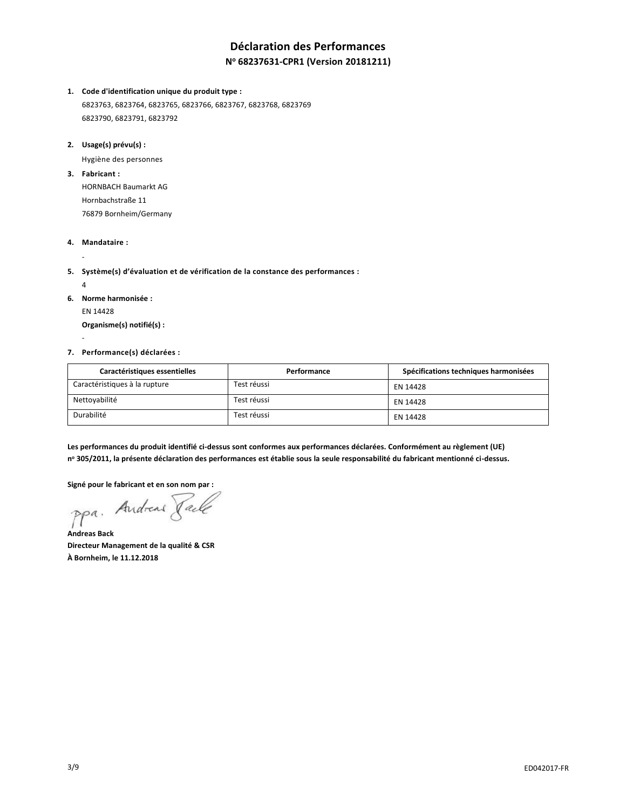# **Déclaration des Performances**

### **N <sup>o</sup> 68237631-CPR1 (Version 20181211)**

**1. Code d'identification unique du produit type :**

6823763, 6823764, 6823765, 6823766, 6823767, 6823768, 6823769 6823790, 6823791, 6823792

**2. Usage(s) prévu(s) :**

Hygiène des personnes

**3. Fabricant :**

HORNBACH Baumarkt AG Hornbachstraße 11 76879 Bornheim/Germany

**4. Mandataire :**

-

-

- **5. Système(s) d'évaluation et de vérification de la constance des performances :**
- 4 **6. Norme harmonisée :** EN 14428

**Organisme(s) notifié(s) :**

#### **7. Performance(s) déclarées :**

| Caractéristiques essentielles | Performance | Spécifications techniques harmonisées |
|-------------------------------|-------------|---------------------------------------|
| Caractéristiques à la rupture | Test réussi | EN 14428                              |
| Nettoyabilité                 | Test réussi | EN 14428                              |
| Durabilité                    | Test réussi | EN 14428                              |

**Les performances du produit identifié ci-dessus sont conformes aux performances déclarées. Conformément au règlement (UE) n <sup>o</sup> 305/2011, la présente déclaration des performances est établie sous la seule responsabilité du fabricant mentionné ci-dessus.**

**Signé pour le fabricant et en son nom par :**

ppa. Andreas Fack

**Andreas Back Directeur Management de la qualité & CSR À Bornheim, le 11.12.2018**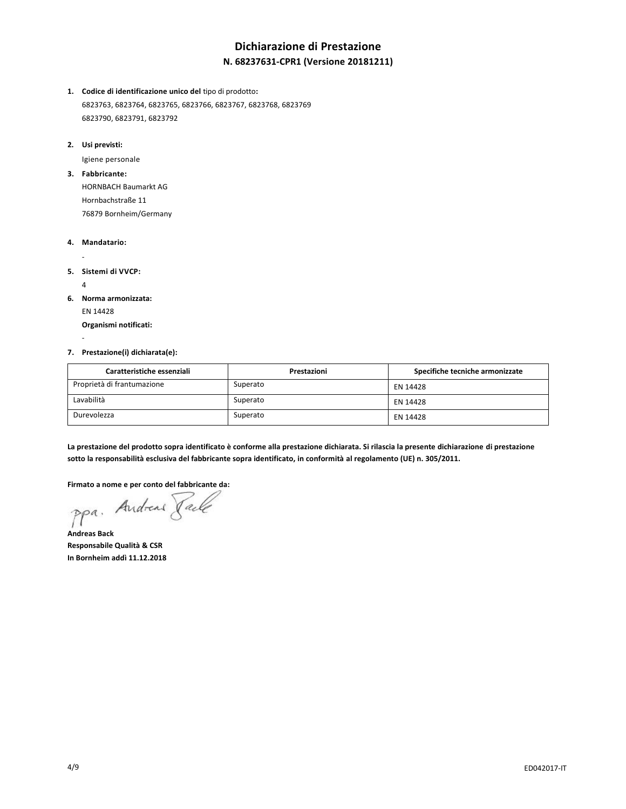# **Dichiarazione di Prestazione N. 68237631-CPR1 (Versione 20181211)**

- **1. Codice di identificazione unico del** tipo di prodotto**:** 6823763, 6823764, 6823765, 6823766, 6823767, 6823768, 6823769 6823790, 6823791, 6823792
- **2. Usi previsti:**

Igiene personale

**3. Fabbricante:**

HORNBACH Baumarkt AG Hornbachstraße 11 76879 Bornheim/Germany

- **4. Mandatario:**
- **5. Sistemi di VVCP:**
	- 4

-

-

**6. Norma armonizzata:** EN 14428

**Organismi notificati:**

#### **7. Prestazione(i) dichiarata(e):**

| Caratteristiche essenziali | Prestazioni | Specifiche tecniche armonizzate |
|----------------------------|-------------|---------------------------------|
| Proprietà di frantumazione | Superato    | EN 14428                        |
| Lavabilità                 | Superato    | EN 14428                        |
| Durevolezza                | Superato    | EN 14428                        |

**La prestazione del prodotto sopra identificato è conforme alla prestazione dichiarata. Si rilascia la presente dichiarazione di prestazione sotto la responsabilità esclusiva del fabbricante sopra identificato, in conformità al regolamento (UE) n. 305/2011.**

**Firmato a nome e per conto del fabbricante da:**

ppa. Andreas Taile

**Andreas Back Responsabile Qualità & CSR In Bornheim addì 11.12.2018**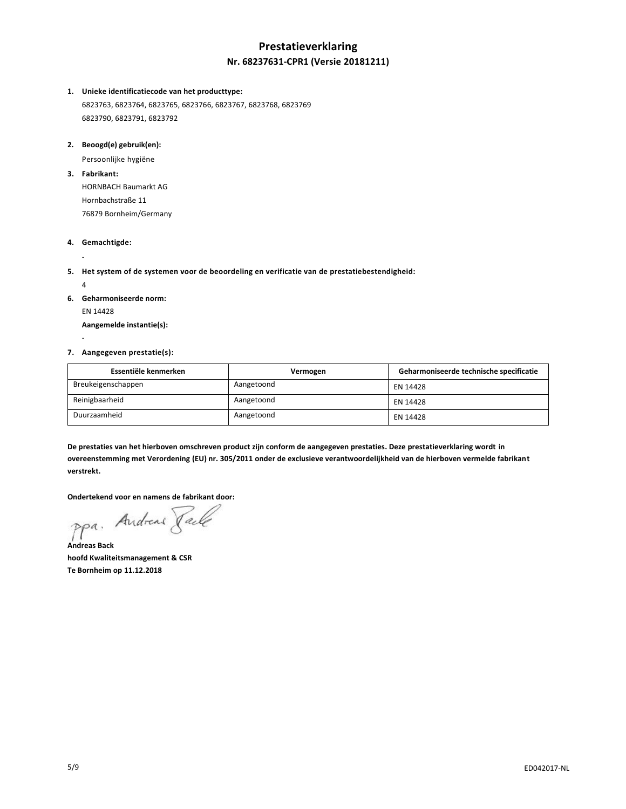# **Prestatieverklaring Nr. 68237631-CPR1 (Versie 20181211)**

#### **1. Unieke identificatiecode van het producttype:**

6823763, 6823764, 6823765, 6823766, 6823767, 6823768, 6823769 6823790, 6823791, 6823792

#### **2. Beoogd(e) gebruik(en):**

Persoonlijke hygiëne

**3. Fabrikant:**

HORNBACH Baumarkt AG Hornbachstraße 11 76879 Bornheim/Germany

#### **4. Gemachtigde:**

-

- **5. Het system of de systemen voor de beoordeling en verificatie van de prestatiebestendigheid:**
- 4 **6. Geharmoniseerde norm:** EN 14428 **Aangemelde instantie(s):**

### -

# **7. Aangegeven prestatie(s):**

| Essentiële kenmerken | Vermogen   | Geharmoniseerde technische specificatie |
|----------------------|------------|-----------------------------------------|
| Breukeigenschappen   | Aangetoond | EN 14428                                |
| Reinigbaarheid       | Aangetoond | EN 14428                                |
| Duurzaamheid         | Aangetoond | EN 14428                                |

**De prestaties van het hierboven omschreven product zijn conform de aangegeven prestaties. Deze prestatieverklaring wordt in overeenstemming met Verordening (EU) nr. 305/2011 onder de exclusieve verantwoordelijkheid van de hierboven vermelde fabrikant verstrekt.**

**Ondertekend voor en namens de fabrikant door:**

ppa. Andreas Jack

**Andreas Back hoofd Kwaliteitsmanagement & CSR Te Bornheim op 11.12.2018**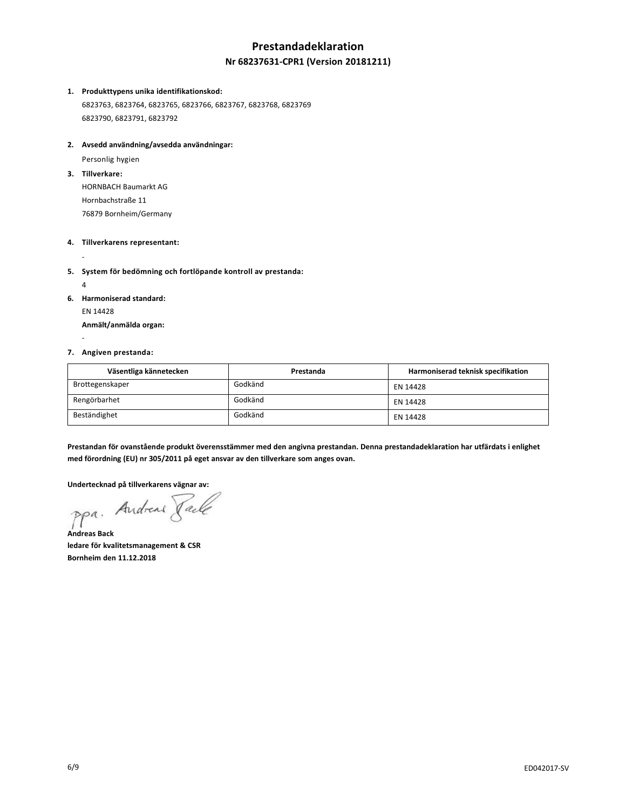# **Prestandadeklaration**

### **Nr 68237631-CPR1 (Version 20181211)**

#### **1. Produkttypens unika identifikationskod:**

6823763, 6823764, 6823765, 6823766, 6823767, 6823768, 6823769 6823790, 6823791, 6823792

#### **2. Avsedd användning/avsedda användningar:**

Personlig hygien

**3. Tillverkare:**

-

-

HORNBACH Baumarkt AG Hornbachstraße 11 76879 Bornheim/Germany

#### **4. Tillverkarens representant:**

- **5. System för bedömning och fortlöpande kontroll av prestanda:**
- 4 **6. Harmoniserad standard:** EN 14428 **Anmält/anmälda organ:**

#### **7. Angiven prestanda:**

| Väsentliga kännetecken | Prestanda | Harmoniserad teknisk specifikation |
|------------------------|-----------|------------------------------------|
| Brottegenskaper        | Godkänd   | EN 14428                           |
| Rengörbarhet           | Godkänd   | EN 14428                           |
| Beständighet           | Godkänd   | EN 14428                           |

**Prestandan för ovanstående produkt överensstämmer med den angivna prestandan. Denna prestandadeklaration har utfärdats i enlighet med förordning (EU) nr 305/2011 på eget ansvar av den tillverkare som anges ovan.**

**Undertecknad på tillverkarens vägnar av:**

**Andreas Back**

**ledare för kvalitetsmanagement & CSR Bornheim den 11.12.2018**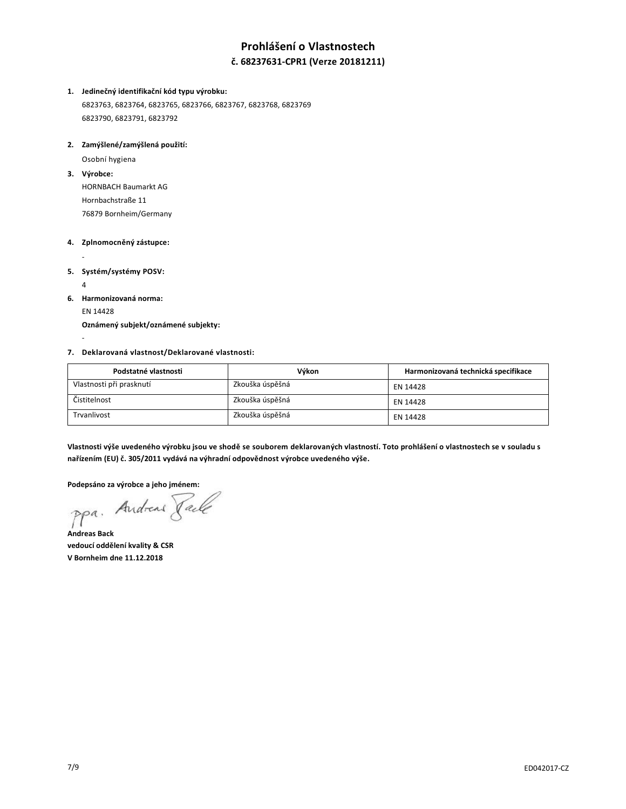# **Prohlášení o Vlastnostech**

### **č. 68237631-CPR1 (Verze 20181211)**

#### **1. Jedinečný identifikační kód typu výrobku:**

6823763, 6823764, 6823765, 6823766, 6823767, 6823768, 6823769 6823790, 6823791, 6823792

#### **2. Zamýšlené/zamýšlená použití:**

Osobní hygiena

### **3. Výrobce:**

HORNBACH Baumarkt AG Hornbachstraße 11 76879 Bornheim/Germany

#### **4. Zplnomocněný zástupce:**

**5. Systém/systémy POSV:**

4

-

-

**6. Harmonizovaná norma:** EN 14428

**Oznámený subjekt/oznámené subjekty:**

#### **7. Deklarovaná vlastnost/Deklarované vlastnosti:**

| Podstatné vlastnosti     | Výkon           | Harmonizovaná technická specifikace |
|--------------------------|-----------------|-------------------------------------|
| Vlastnosti při prasknutí | Zkouška úspěšná | EN 14428                            |
| Čistitelnost             | Zkouška úspěšná | EN 14428                            |
| Trvanlivost              | Zkouška úspěšná | EN 14428                            |

**Vlastnosti výše uvedeného výrobku jsou ve shodě se souborem deklarovaných vlastností. Toto prohlášení o vlastnostech se v souladu s nařízením (EU) č. 305/2011 vydává na výhradní odpovědnost výrobce uvedeného výše.**

Podepsáno za výrobce a jeho jménem:<br>Ppa, Andread *Jacke*<br>Andreas C

**Andreas Back vedoucí oddělení kvality & CSR V Bornheim dne 11.12.2018**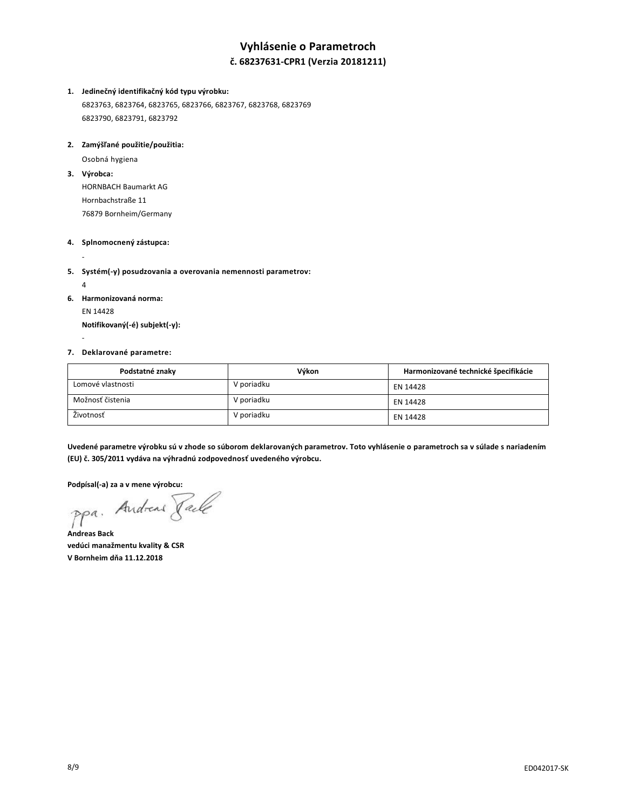# **Vyhlásenie o Parametroch**

### **č. 68237631-CPR1 (Verzia 20181211)**

#### **1. Jedinečný identifikačný kód typu výrobku:**

6823763, 6823764, 6823765, 6823766, 6823767, 6823768, 6823769 6823790, 6823791, 6823792

#### **2. Zamýšľané použitie/použitia:**

Osobná hygiena

**3. Výrobca:**

-

-

HORNBACH Baumarkt AG Hornbachstraße 11 76879 Bornheim/Germany

#### **4. Splnomocnený zástupca:**

- **5. Systém(-y) posudzovania a overovania nemennosti parametrov:**
- 4 **6. Harmonizovaná norma:** EN 14428

**Notifikovaný(-é) subjekt(-y):**

#### **7. Deklarované parametre:**

| Podstatné znaky   | Výkon      | Harmonizované technické špecifikácie |
|-------------------|------------|--------------------------------------|
| Lomové vlastnosti | V poriadku | EN 14428                             |
| Možnosť čistenia  | V poriadku | EN 14428                             |
| Životnosť         | V poriadku | EN 14428                             |

**Uvedené parametre výrobku sú v zhode so súborom deklarovaných parametrov. Toto vyhlásenie o parametroch sa v súlade s nariadením (EU) č. 305/2011 vydáva na výhradnú zodpovednosť uvedeného výrobcu.**

**Podpísal(-a) za a v mene výrobcu:**

**Andreas Back vedúci manažmentu kvality & CSR V Bornheim dňa 11.12.2018**